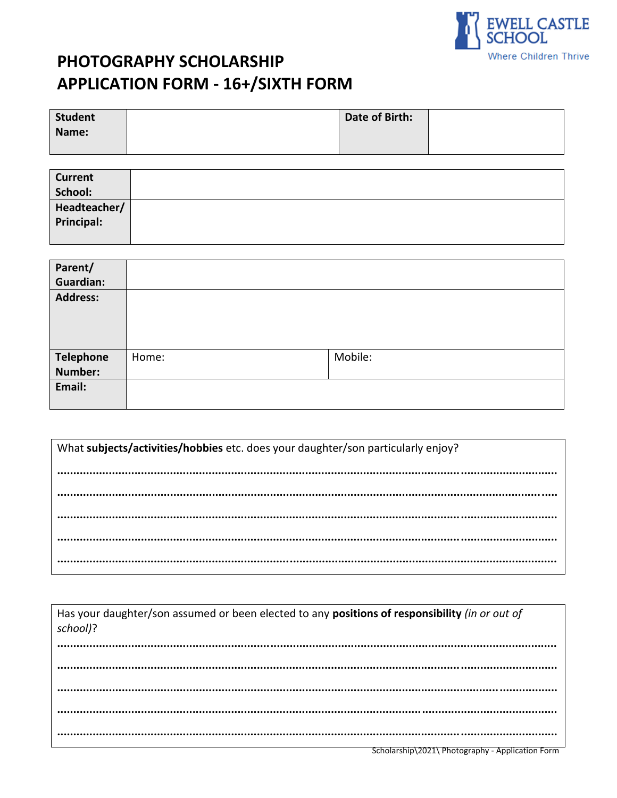

# PHOTOGRAPHY SCHOLARSHIP **APPLICATION FORM - 16+/SIXTH FORM**

| <b>Student</b> | Date of Birth: |  |
|----------------|----------------|--|
| Name:          |                |  |
|                |                |  |

| <b>Current</b> |  |
|----------------|--|
| School:        |  |
| Headteacher/   |  |
| Principal:     |  |
|                |  |

| Parent/<br><b>Guardian:</b> |       |         |  |
|-----------------------------|-------|---------|--|
| <b>Address:</b>             |       |         |  |
| <b>Telephone</b>            | Home: | Mobile: |  |
| Number:                     |       |         |  |
| Email:                      |       |         |  |

| What subjects/activities/hobbies etc. does your daughter/son particularly enjoy? |
|----------------------------------------------------------------------------------|
|                                                                                  |
|                                                                                  |
|                                                                                  |
|                                                                                  |

| Has your daughter/son assumed or been elected to any positions of responsibility (in or out of<br>school)? |                                                                                                                   |
|------------------------------------------------------------------------------------------------------------|-------------------------------------------------------------------------------------------------------------------|
|                                                                                                            |                                                                                                                   |
|                                                                                                            |                                                                                                                   |
|                                                                                                            |                                                                                                                   |
|                                                                                                            |                                                                                                                   |
|                                                                                                            | $0.1 - 1 - 1.1$ $0.241$ $R_{1}$ $1 - 1.1$ $R_{2}$ $1 - 1.1$ $R_{3}$ $1 - 1.1$ $R_{4}$ $1 - 1.1$ $R_{5}$ $1 - 1.1$ |

Scholarship\2021\ Photography - Application Form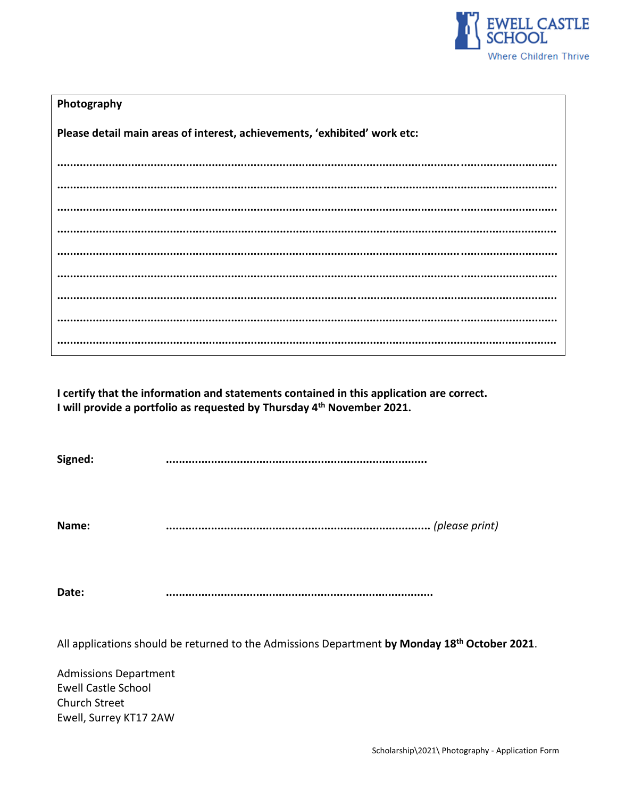

| Photography                                                               |
|---------------------------------------------------------------------------|
| Please detail main areas of interest, achievements, 'exhibited' work etc: |
|                                                                           |
|                                                                           |
|                                                                           |
|                                                                           |
|                                                                           |
|                                                                           |
|                                                                           |
|                                                                           |
|                                                                           |

I certify that the information and statements contained in this application are correct. I will provide a portfolio as requested by Thursday 4<sup>th</sup> November 2021.

Signed: 

Name: 

Date: 

All applications should be returned to the Admissions Department by Monday 18<sup>th</sup> October 2021.

**Admissions Department Ewell Castle School** Church Street Ewell, Surrey KT17 2AW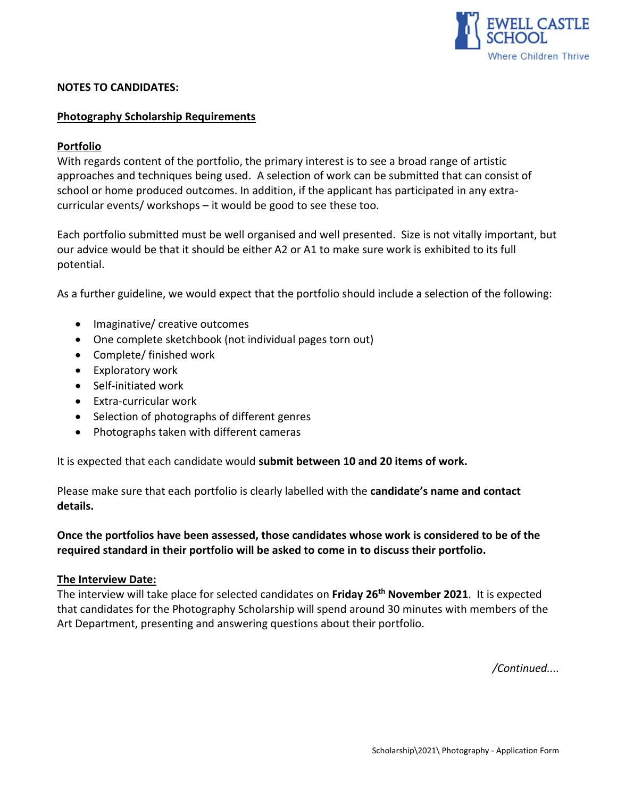

#### **NOTES TO CANDIDATES:**

#### **Photography Scholarship Requirements**

## **Portfolio**

With regards content of the portfolio, the primary interest is to see a broad range of artistic approaches and techniques being used. A selection of work can be submitted that can consist of school or home produced outcomes. In addition, if the applicant has participated in any extracurricular events/ workshops – it would be good to see these too.

Each portfolio submitted must be well organised and well presented. Size is not vitally important, but our advice would be that it should be either A2 or A1 to make sure work is exhibited to its full potential.

As a further guideline, we would expect that the portfolio should include a selection of the following:

- Imaginative/ creative outcomes
- One complete sketchbook (not individual pages torn out)
- Complete/ finished work
- Exploratory work
- Self-initiated work
- Extra-curricular work
- Selection of photographs of different genres
- Photographs taken with different cameras

It is expected that each candidate would **submit between 10 and 20 items of work.**

Please make sure that each portfolio is clearly labelled with the **candidate's name and contact details.**

**Once the portfolios have been assessed, those candidates whose work is considered to be of the required standard in their portfolio will be asked to come in to discuss their portfolio.**

#### **The Interview Date:**

The interview will take place for selected candidates on **Friday 26 th November 2021**. It is expected that candidates for the Photography Scholarship will spend around 30 minutes with members of the Art Department, presenting and answering questions about their portfolio.

*/Continued....*